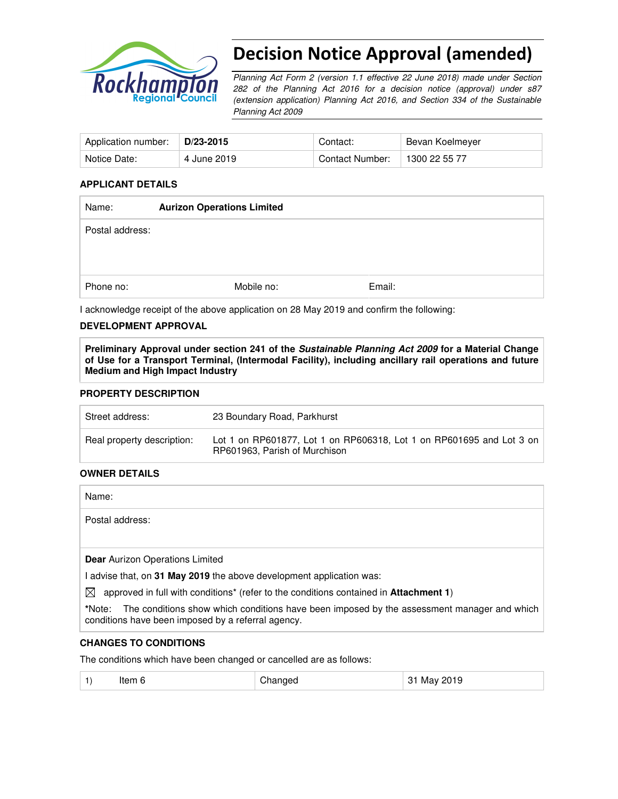

# Decision Notice Approval (amended)

Planning Act Form 2 (version 1.1 effective 22 June 2018) made under Section 282 of the Planning Act 2016 for a decision notice (approval) under s87 (extension application) Planning Act 2016, and Section 334 of the Sustainable Planning Act 2009

| Application number: | D/23-2015   | Contact:        | Bevan Koelmeyer |
|---------------------|-------------|-----------------|-----------------|
| Notice Date:        | 4 June 2019 | Contact Number: | 1300 22 55 77   |

## **APPLICANT DETAILS**

| Name:           | <b>Aurizon Operations Limited</b> |        |  |
|-----------------|-----------------------------------|--------|--|
| Postal address: |                                   |        |  |
|                 |                                   |        |  |
|                 |                                   |        |  |
| Phone no:       | Mobile no:                        | Email: |  |

I acknowledge receipt of the above application on 28 May 2019 and confirm the following:

## **DEVELOPMENT APPROVAL**

**Preliminary Approval under section 241 of the Sustainable Planning Act 2009 for a Material Change of Use for a Transport Terminal, (Intermodal Facility), including ancillary rail operations and future Medium and High Impact Industry** 

## **PROPERTY DESCRIPTION**

| Street address:            | 23 Boundary Road, Parkhurst                                                                           |
|----------------------------|-------------------------------------------------------------------------------------------------------|
| Real property description: | Lot 1 on RP601877, Lot 1 on RP606318, Lot 1 on RP601695 and Lot 3 on<br>RP601963, Parish of Murchison |

## **OWNER DETAILS**

Name:

Postal address:

**Dear** Aurizon Operations Limited

I advise that, on **31 May 2019** the above development application was:

 $\boxtimes$  approved in full with conditions<sup>\*</sup> (refer to the conditions contained in **Attachment 1**)

**\***Note:The conditions show which conditions have been imposed by the assessment manager and which conditions have been imposed by a referral agency.

## **CHANGES TO CONDITIONS**

The conditions which have been changed or cancelled are as follows:

| ltem 6 | Changed | 31 May 2019 |
|--------|---------|-------------|
|        |         |             |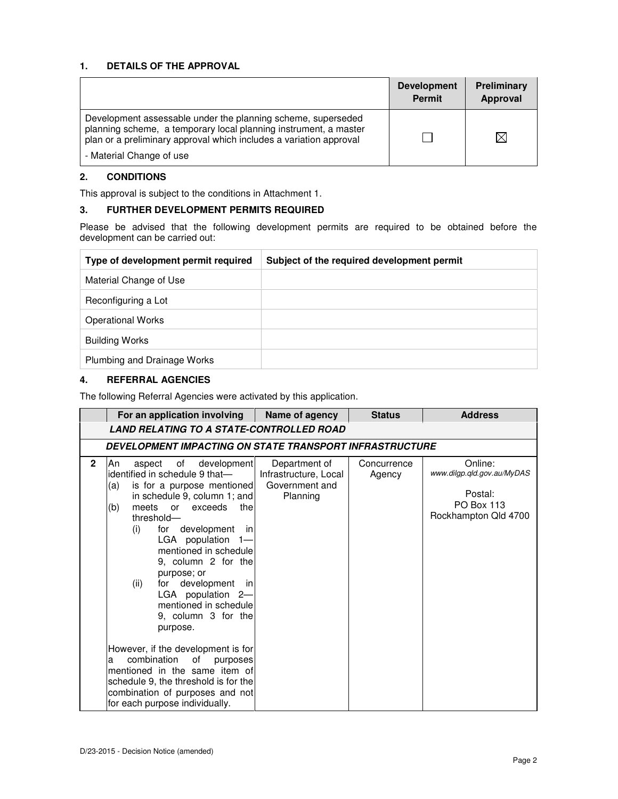## **1. DETAILS OF THE APPROVAL**

|                                                                                                                                                                                                        | <b>Development</b><br><b>Permit</b> | Preliminary<br>Approval |
|--------------------------------------------------------------------------------------------------------------------------------------------------------------------------------------------------------|-------------------------------------|-------------------------|
| Development assessable under the planning scheme, superseded<br>planning scheme, a temporary local planning instrument, a master<br>plan or a preliminary approval which includes a variation approval |                                     |                         |
| - Material Change of use                                                                                                                                                                               |                                     |                         |

## **2. CONDITIONS**

This approval is subject to the conditions in Attachment 1.

## **3. FURTHER DEVELOPMENT PERMITS REQUIRED**

Please be advised that the following development permits are required to be obtained before the development can be carried out:

| Type of development permit required | Subject of the required development permit |
|-------------------------------------|--------------------------------------------|
| Material Change of Use              |                                            |
| Reconfiguring a Lot                 |                                            |
| <b>Operational Works</b>            |                                            |
| <b>Building Works</b>               |                                            |
| Plumbing and Drainage Works         |                                            |

## **4. REFERRAL AGENCIES**

The following Referral Agencies were activated by this application.

|              | For an application involving                                                                                                                                                                                                                                                                                                                                                                                                                                                                                                                                                                                                                                                   | Name of agency                                                       | <b>Status</b>         | <b>Address</b>                                                                                |  |
|--------------|--------------------------------------------------------------------------------------------------------------------------------------------------------------------------------------------------------------------------------------------------------------------------------------------------------------------------------------------------------------------------------------------------------------------------------------------------------------------------------------------------------------------------------------------------------------------------------------------------------------------------------------------------------------------------------|----------------------------------------------------------------------|-----------------------|-----------------------------------------------------------------------------------------------|--|
|              | <b>LAND RELATING TO A STATE-CONTROLLED ROAD</b>                                                                                                                                                                                                                                                                                                                                                                                                                                                                                                                                                                                                                                |                                                                      |                       |                                                                                               |  |
|              | DEVELOPMENT IMPACTING ON STATE TRANSPORT INFRASTRUCTURE                                                                                                                                                                                                                                                                                                                                                                                                                                                                                                                                                                                                                        |                                                                      |                       |                                                                                               |  |
| $\mathbf{2}$ | development<br>An<br>of<br>aspect<br>identified in schedule 9 that-<br>is for a purpose mentioned<br>(a)<br>in schedule 9, column 1; and<br>(b)<br>the<br>meets<br><b>or</b><br>exceeds<br>threshold-<br>development<br>for<br>(i)<br>- inl<br>LGA population<br>$1 -$<br>mentioned in schedule<br>9, column 2 for the<br>purpose; or<br>for development in<br>(ii)<br>LGA population 2-<br>mentioned in schedule<br>9, column 3 for the<br>purpose.<br>However, if the development is for<br>combination<br>of<br>purposes<br>a<br>mentioned in the same item of<br>schedule 9, the threshold is for the<br>combination of purposes and not<br>for each purpose individually. | Department of<br>Infrastructure, Local<br>Government and<br>Planning | Concurrence<br>Agency | Online:<br>www.dilgp.gld.gov.au/MyDAS<br>Postal:<br><b>PO Box 113</b><br>Rockhampton Qld 4700 |  |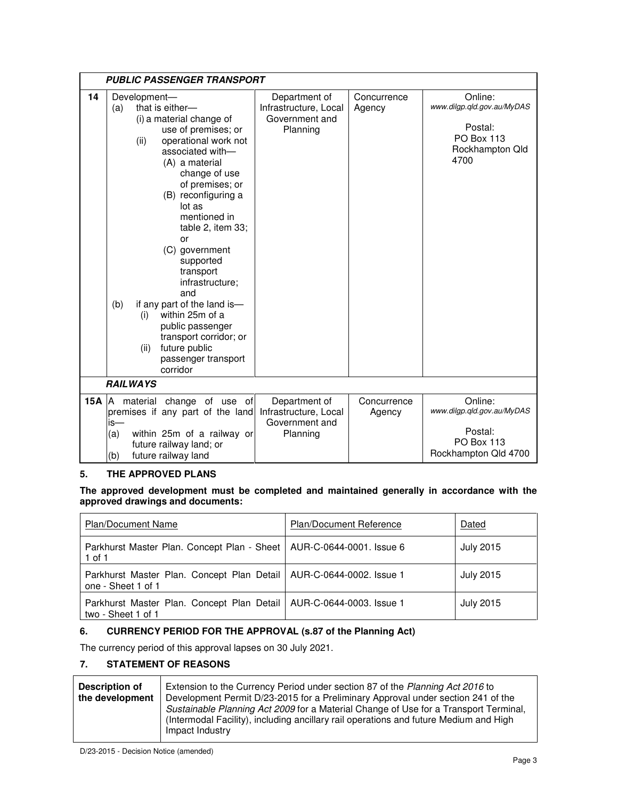|     | <b>PUBLIC PASSENGER TRANSPORT</b>                                                                                                                                                                                                                                                                                                                                                                                                                                                                                               |                                                                      |                       |                                                                                                  |
|-----|---------------------------------------------------------------------------------------------------------------------------------------------------------------------------------------------------------------------------------------------------------------------------------------------------------------------------------------------------------------------------------------------------------------------------------------------------------------------------------------------------------------------------------|----------------------------------------------------------------------|-----------------------|--------------------------------------------------------------------------------------------------|
| 14  | Development-<br>that is either-<br>(a)<br>(i) a material change of<br>use of premises; or<br>operational work not<br>(ii)<br>associated with-<br>(A) a material<br>change of use<br>of premises; or<br>(B) reconfiguring a<br>lot as<br>mentioned in<br>table 2, item 33;<br>or<br>(C) government<br>supported<br>transport<br>infrastructure;<br>and<br>if any part of the land is-<br>(b)<br>within 25m of a<br>(i)<br>public passenger<br>transport corridor; or<br>future public<br>(ii)<br>passenger transport<br>corridor | Department of<br>Infrastructure, Local<br>Government and<br>Planning | Concurrence<br>Agency | Online:<br>www.dilgp.qld.gov.au/MyDAS<br>Postal:<br><b>PO Box 113</b><br>Rockhampton Qld<br>4700 |
|     | <b>RAILWAYS</b>                                                                                                                                                                                                                                                                                                                                                                                                                                                                                                                 |                                                                      |                       |                                                                                                  |
| 15A | change of use of<br>IA.<br>material<br>premises if any part of the land<br>is—<br>within 25m of a railway or<br>(a)<br>future railway land; or<br>future railway land<br>(b)                                                                                                                                                                                                                                                                                                                                                    | Department of<br>Infrastructure, Local<br>Government and<br>Planning | Concurrence<br>Agency | Online:<br>www.dilgp.qld.gov.au/MyDAS<br>Postal:<br><b>PO Box 113</b><br>Rockhampton Qld 4700    |

## **5. THE APPROVED PLANS**

## **The approved development must be completed and maintained generally in accordance with the approved drawings and documents:**

| <b>Plan/Document Name</b>                                                                   | <b>Plan/Document Reference</b> | Dated            |
|---------------------------------------------------------------------------------------------|--------------------------------|------------------|
| Parkhurst Master Plan. Concept Plan - Sheet   AUR-C-0644-0001. Issue 6<br>$1$ of $1$        |                                | <b>July 2015</b> |
| Parkhurst Master Plan. Concept Plan Detail   AUR-C-0644-0002. Issue 1<br>one - Sheet 1 of 1 |                                | <b>July 2015</b> |
| Parkhurst Master Plan. Concept Plan Detail   AUR-C-0644-0003. Issue 1<br>two - Sheet 1 of 1 |                                | <b>July 2015</b> |

## **6. CURRENCY PERIOD FOR THE APPROVAL (s.87 of the Planning Act)**

The currency period of this approval lapses on 30 July 2021.

## **7. STATEMENT OF REASONS**

| Description of<br>the development | Extension to the Currency Period under section 87 of the Planning Act 2016 to<br>Development Permit D/23-2015 for a Preliminary Approval under section 241 of the<br>Sustainable Planning Act 2009 for a Material Change of Use for a Transport Terminal,<br>(Intermodal Facility), including ancillary rail operations and future Medium and High<br>Impact Industry |
|-----------------------------------|-----------------------------------------------------------------------------------------------------------------------------------------------------------------------------------------------------------------------------------------------------------------------------------------------------------------------------------------------------------------------|
|                                   |                                                                                                                                                                                                                                                                                                                                                                       |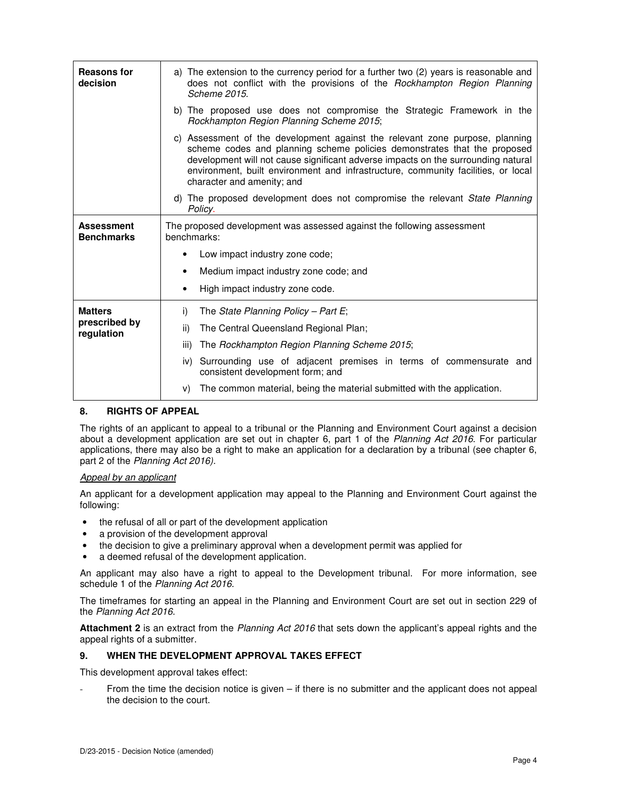| <b>Reasons for</b><br>decision         | a) The extension to the currency period for a further two (2) years is reasonable and<br>does not conflict with the provisions of the Rockhampton Region Planning                                                                                                                                                                                                |  |  |
|----------------------------------------|------------------------------------------------------------------------------------------------------------------------------------------------------------------------------------------------------------------------------------------------------------------------------------------------------------------------------------------------------------------|--|--|
|                                        | Scheme 2015.<br>b) The proposed use does not compromise the Strategic Framework in the<br>Rockhampton Region Planning Scheme 2015;                                                                                                                                                                                                                               |  |  |
|                                        | c) Assessment of the development against the relevant zone purpose, planning<br>scheme codes and planning scheme policies demonstrates that the proposed<br>development will not cause significant adverse impacts on the surrounding natural<br>environment, built environment and infrastructure, community facilities, or local<br>character and amenity; and |  |  |
|                                        | d) The proposed development does not compromise the relevant State Planning<br>Policy.                                                                                                                                                                                                                                                                           |  |  |
| <b>Assessment</b><br><b>Benchmarks</b> | The proposed development was assessed against the following assessment<br>benchmarks:                                                                                                                                                                                                                                                                            |  |  |
|                                        | Low impact industry zone code;                                                                                                                                                                                                                                                                                                                                   |  |  |
|                                        | Medium impact industry zone code; and<br>٠                                                                                                                                                                                                                                                                                                                       |  |  |
|                                        | High impact industry zone code.                                                                                                                                                                                                                                                                                                                                  |  |  |
| <b>Matters</b>                         | i)<br>The State Planning Policy – Part E;                                                                                                                                                                                                                                                                                                                        |  |  |
| prescribed by<br>regulation            | ii)<br>The Central Queensland Regional Plan;                                                                                                                                                                                                                                                                                                                     |  |  |
|                                        | The Rockhampton Region Planning Scheme 2015;<br>iii)                                                                                                                                                                                                                                                                                                             |  |  |
|                                        | iv) Surrounding use of adjacent premises in terms of commensurate and<br>consistent development form; and                                                                                                                                                                                                                                                        |  |  |
|                                        | The common material, being the material submitted with the application.<br>V)                                                                                                                                                                                                                                                                                    |  |  |

## **8. RIGHTS OF APPEAL**

The rights of an applicant to appeal to a tribunal or the Planning and Environment Court against a decision about a development application are set out in chapter 6, part 1 of the Planning Act 2016. For particular applications, there may also be a right to make an application for a declaration by a tribunal (see chapter 6, part 2 of the Planning Act 2016).

## Appeal by an applicant

An applicant for a development application may appeal to the Planning and Environment Court against the following:

- the refusal of all or part of the development application
- a provision of the development approval
- the decision to give a preliminary approval when a development permit was applied for
- a deemed refusal of the development application.

An applicant may also have a right to appeal to the Development tribunal. For more information, see schedule 1 of the Planning Act 2016.

The timeframes for starting an appeal in the Planning and Environment Court are set out in section 229 of the Planning Act 2016.

**Attachment 2** is an extract from the Planning Act 2016 that sets down the applicant's appeal rights and the appeal rights of a submitter.

### **9. WHEN THE DEVELOPMENT APPROVAL TAKES EFFECT**

This development approval takes effect:

From the time the decision notice is given – if there is no submitter and the applicant does not appeal the decision to the court.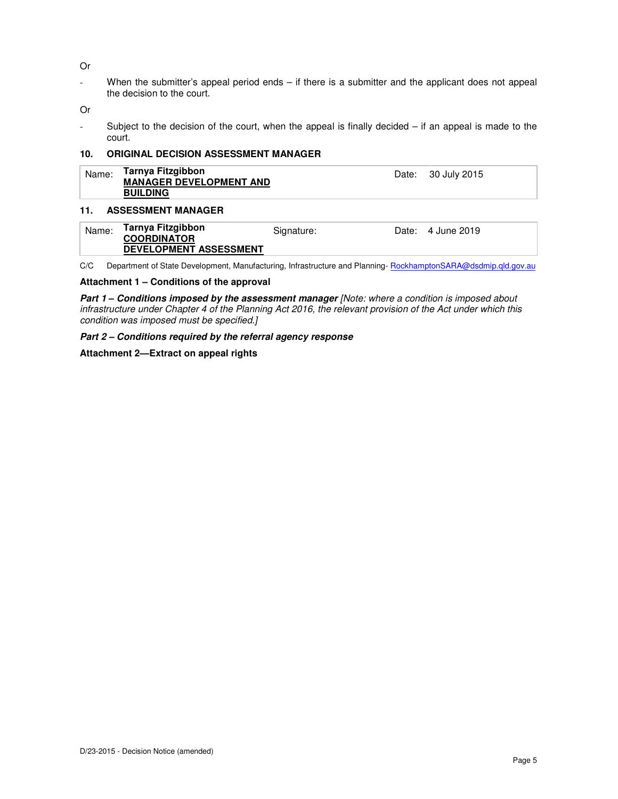Or

- When the submitter's appeal period ends – if there is a submitter and the applicant does not appeal the decision to the court.

Or

- Subject to the decision of the court, when the appeal is finally decided – if an appeal is made to the court.

### **10. ORIGINAL DECISION ASSESSMENT MANAGER**

| Name: | Tarnya Fitzgibbon<br><b>MANAGER DEVELOPMENT AND</b><br><b>BUILDING</b>   |            | Date: | 30 July 2015      |
|-------|--------------------------------------------------------------------------|------------|-------|-------------------|
| 11.   | <b>ASSESSMENT MANAGER</b>                                                |            |       |                   |
| Name: | Tarnya Fitzgibbon<br><b>COORDINATOR</b><br><b>DEVELOPMENT ASSESSMENT</b> | Signature: |       | Date: 4 June 2019 |

C/C Department of State Development, Manufacturing, Infrastructure and Planning-RockhamptonSARA@dsdmip.qld.gov.au

### **Attachment 1 – Conditions of the approval**

**Part 1 – Conditions imposed by the assessment manager** [Note: where a condition is imposed about infrastructure under Chapter 4 of the Planning Act 2016, the relevant provision of the Act under which this condition was imposed must be specified.]

**Part 2 – Conditions required by the referral agency response** 

### **Attachment 2—Extract on appeal rights**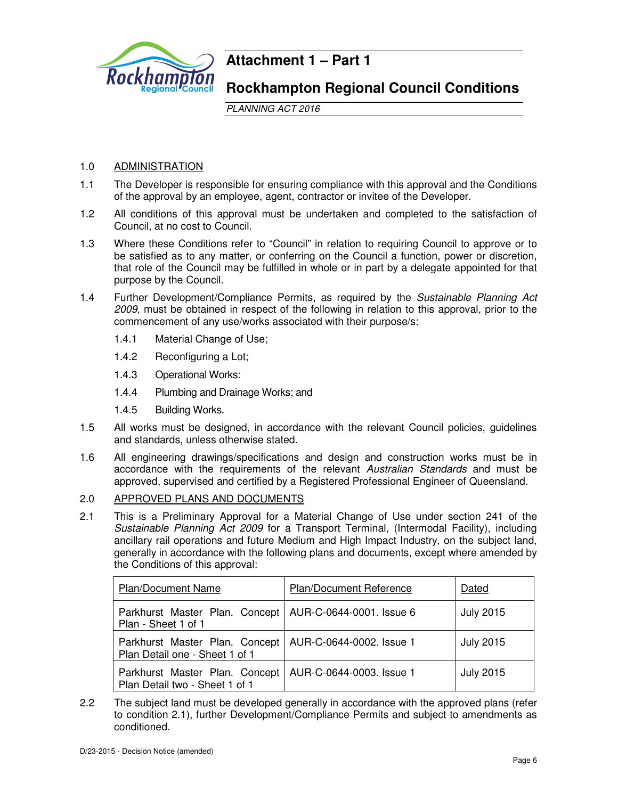

## **Attachment 1 – Part 1**

## **Rockhampton Regional Council Conditions**

PLANNING ACT 2016

## 1.0 ADMINISTRATION

- 1.1 The Developer is responsible for ensuring compliance with this approval and the Conditions of the approval by an employee, agent, contractor or invitee of the Developer.
- 1.2 All conditions of this approval must be undertaken and completed to the satisfaction of Council, at no cost to Council.
- 1.3 Where these Conditions refer to "Council" in relation to requiring Council to approve or to be satisfied as to any matter, or conferring on the Council a function, power or discretion, that role of the Council may be fulfilled in whole or in part by a delegate appointed for that purpose by the Council.
- 1.4 Further Development/Compliance Permits, as required by the Sustainable Planning Act 2009, must be obtained in respect of the following in relation to this approval, prior to the commencement of any use/works associated with their purpose/s:
	- 1.4.1 Material Change of Use;
	- 1.4.2 Reconfiguring a Lot;
	- 1.4.3 Operational Works:
	- 1.4.4 Plumbing and Drainage Works; and
	- 1.4.5 Building Works.
- 1.5 All works must be designed, in accordance with the relevant Council policies, guidelines and standards, unless otherwise stated.
- 1.6 All engineering drawings/specifications and design and construction works must be in accordance with the requirements of the relevant Australian Standards and must be approved, supervised and certified by a Registered Professional Engineer of Queensland.
- 2.0 APPROVED PLANS AND DOCUMENTS
- 2.1 This is a Preliminary Approval for a Material Change of Use under section 241 of the Sustainable Planning Act 2009 for a Transport Terminal, (Intermodal Facility), including ancillary rail operations and future Medium and High Impact Industry, on the subject land, generally in accordance with the following plans and documents, except where amended by the Conditions of this approval:

| <b>Plan/Document Name</b>                                                        | Plan/Document Reference  | Dated            |
|----------------------------------------------------------------------------------|--------------------------|------------------|
| Parkhurst Master Plan. Concept   AUR-C-0644-0001. Issue 6<br>Plan - Sheet 1 of 1 |                          | <b>July 2015</b> |
| Parkhurst Master Plan. Concept<br>Plan Detail one - Sheet 1 of 1                 | AUR-C-0644-0002. Issue 1 | <b>July 2015</b> |
| Parkhurst Master Plan. Concept<br>Plan Detail two - Sheet 1 of 1                 | AUR-C-0644-0003. Issue 1 | <b>July 2015</b> |

2.2 The subject land must be developed generally in accordance with the approved plans (refer to condition 2.1), further Development/Compliance Permits and subject to amendments as conditioned.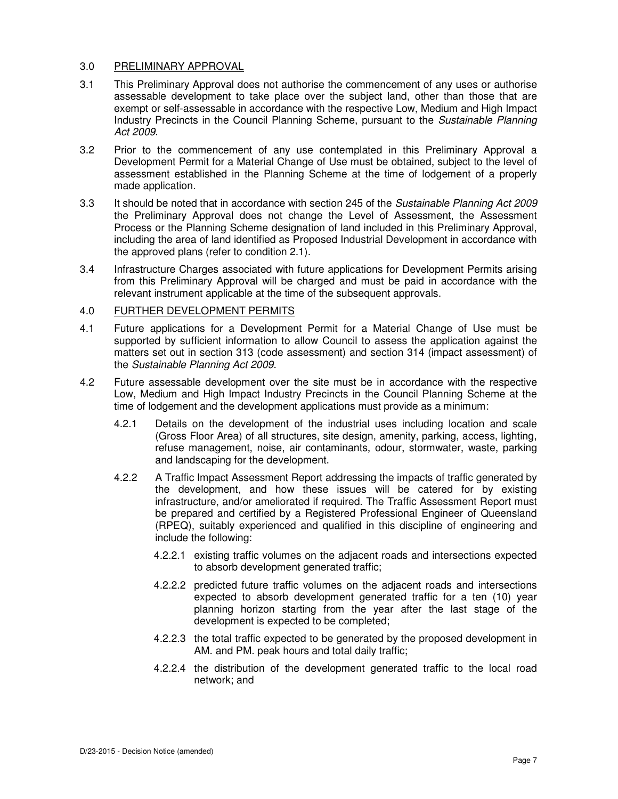## 3.0 PRELIMINARY APPROVAL

- 3.1 This Preliminary Approval does not authorise the commencement of any uses or authorise assessable development to take place over the subject land, other than those that are exempt or self-assessable in accordance with the respective Low, Medium and High Impact Industry Precincts in the Council Planning Scheme, pursuant to the Sustainable Planning Act 2009.
- 3.2 Prior to the commencement of any use contemplated in this Preliminary Approval a Development Permit for a Material Change of Use must be obtained, subject to the level of assessment established in the Planning Scheme at the time of lodgement of a properly made application.
- 3.3 It should be noted that in accordance with section 245 of the Sustainable Planning Act 2009 the Preliminary Approval does not change the Level of Assessment, the Assessment Process or the Planning Scheme designation of land included in this Preliminary Approval, including the area of land identified as Proposed Industrial Development in accordance with the approved plans (refer to condition 2.1).
- 3.4 Infrastructure Charges associated with future applications for Development Permits arising from this Preliminary Approval will be charged and must be paid in accordance with the relevant instrument applicable at the time of the subsequent approvals.

## 4.0 FURTHER DEVELOPMENT PERMITS

- 4.1 Future applications for a Development Permit for a Material Change of Use must be supported by sufficient information to allow Council to assess the application against the matters set out in section 313 (code assessment) and section 314 (impact assessment) of the Sustainable Planning Act 2009.
- 4.2 Future assessable development over the site must be in accordance with the respective Low, Medium and High Impact Industry Precincts in the Council Planning Scheme at the time of lodgement and the development applications must provide as a minimum:
	- 4.2.1 Details on the development of the industrial uses including location and scale (Gross Floor Area) of all structures, site design, amenity, parking, access, lighting, refuse management, noise, air contaminants, odour, stormwater, waste, parking and landscaping for the development.
	- 4.2.2 A Traffic Impact Assessment Report addressing the impacts of traffic generated by the development, and how these issues will be catered for by existing infrastructure, and/or ameliorated if required. The Traffic Assessment Report must be prepared and certified by a Registered Professional Engineer of Queensland (RPEQ), suitably experienced and qualified in this discipline of engineering and include the following:
		- 4.2.2.1 existing traffic volumes on the adjacent roads and intersections expected to absorb development generated traffic;
		- 4.2.2.2 predicted future traffic volumes on the adjacent roads and intersections expected to absorb development generated traffic for a ten (10) year planning horizon starting from the year after the last stage of the development is expected to be completed;
		- 4.2.2.3 the total traffic expected to be generated by the proposed development in AM. and PM. peak hours and total daily traffic;
		- 4.2.2.4 the distribution of the development generated traffic to the local road network; and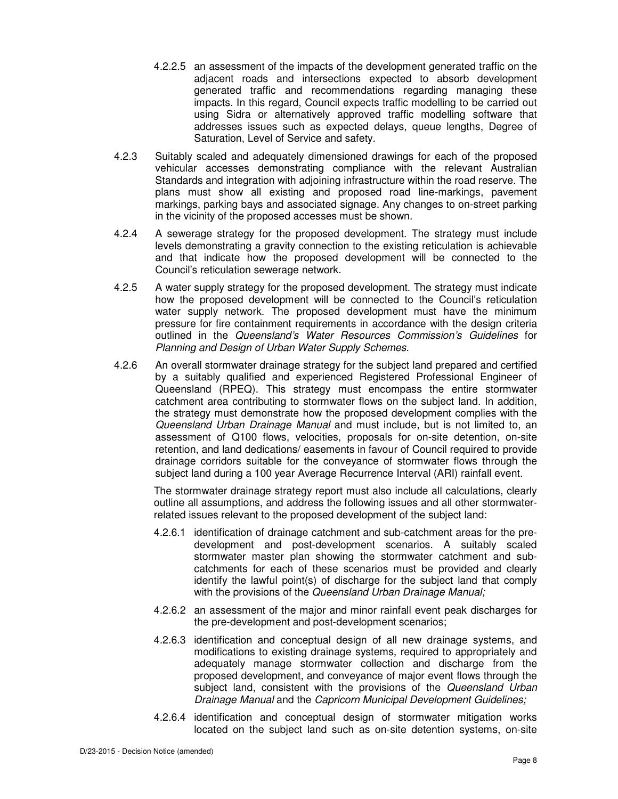- 4.2.2.5 an assessment of the impacts of the development generated traffic on the adjacent roads and intersections expected to absorb development generated traffic and recommendations regarding managing these impacts. In this regard, Council expects traffic modelling to be carried out using Sidra or alternatively approved traffic modelling software that addresses issues such as expected delays, queue lengths, Degree of Saturation, Level of Service and safety.
- 4.2.3 Suitably scaled and adequately dimensioned drawings for each of the proposed vehicular accesses demonstrating compliance with the relevant Australian Standards and integration with adjoining infrastructure within the road reserve. The plans must show all existing and proposed road line-markings, pavement markings, parking bays and associated signage. Any changes to on-street parking in the vicinity of the proposed accesses must be shown.
- 4.2.4 A sewerage strategy for the proposed development. The strategy must include levels demonstrating a gravity connection to the existing reticulation is achievable and that indicate how the proposed development will be connected to the Council's reticulation sewerage network.
- 4.2.5 A water supply strategy for the proposed development. The strategy must indicate how the proposed development will be connected to the Council's reticulation water supply network. The proposed development must have the minimum pressure for fire containment requirements in accordance with the design criteria outlined in the Queensland's Water Resources Commission's Guidelines for Planning and Design of Urban Water Supply Schemes.
- 4.2.6 An overall stormwater drainage strategy for the subject land prepared and certified by a suitably qualified and experienced Registered Professional Engineer of Queensland (RPEQ). This strategy must encompass the entire stormwater catchment area contributing to stormwater flows on the subject land. In addition, the strategy must demonstrate how the proposed development complies with the Queensland Urban Drainage Manual and must include, but is not limited to, an assessment of Q100 flows, velocities, proposals for on-site detention, on-site retention, and land dedications/ easements in favour of Council required to provide drainage corridors suitable for the conveyance of stormwater flows through the subject land during a 100 year Average Recurrence Interval (ARI) rainfall event.

The stormwater drainage strategy report must also include all calculations, clearly outline all assumptions, and address the following issues and all other stormwaterrelated issues relevant to the proposed development of the subject land:

- 4.2.6.1 identification of drainage catchment and sub-catchment areas for the predevelopment and post-development scenarios. A suitably scaled stormwater master plan showing the stormwater catchment and subcatchments for each of these scenarios must be provided and clearly identify the lawful point(s) of discharge for the subject land that comply with the provisions of the Queensland Urban Drainage Manual;
- 4.2.6.2 an assessment of the major and minor rainfall event peak discharges for the pre-development and post-development scenarios;
- 4.2.6.3 identification and conceptual design of all new drainage systems, and modifications to existing drainage systems, required to appropriately and adequately manage stormwater collection and discharge from the proposed development, and conveyance of major event flows through the subject land, consistent with the provisions of the Queensland Urban Drainage Manual and the Capricorn Municipal Development Guidelines;
- 4.2.6.4 identification and conceptual design of stormwater mitigation works located on the subject land such as on-site detention systems, on-site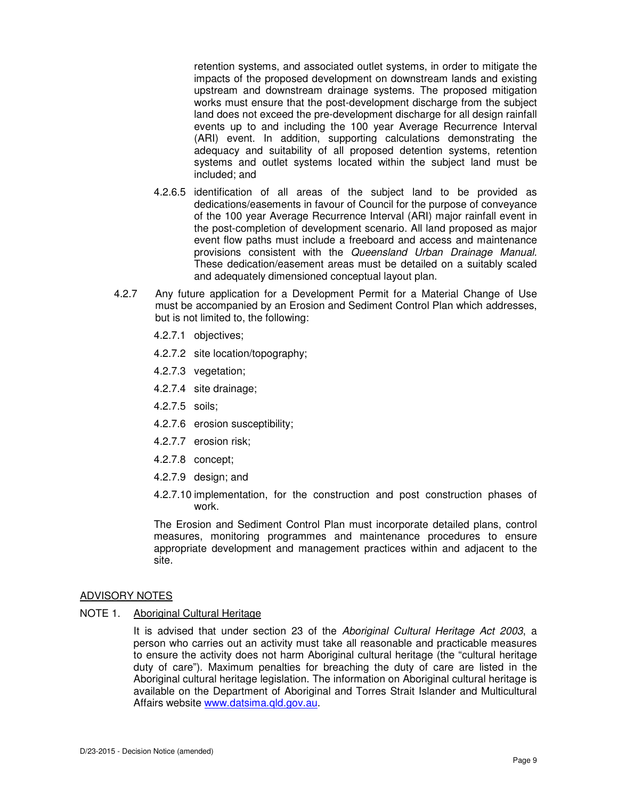retention systems, and associated outlet systems, in order to mitigate the impacts of the proposed development on downstream lands and existing upstream and downstream drainage systems. The proposed mitigation works must ensure that the post-development discharge from the subject land does not exceed the pre-development discharge for all design rainfall events up to and including the 100 year Average Recurrence Interval (ARI) event. In addition, supporting calculations demonstrating the adequacy and suitability of all proposed detention systems, retention systems and outlet systems located within the subject land must be included; and

- 4.2.6.5 identification of all areas of the subject land to be provided as dedications/easements in favour of Council for the purpose of conveyance of the 100 year Average Recurrence Interval (ARI) major rainfall event in the post-completion of development scenario. All land proposed as major event flow paths must include a freeboard and access and maintenance provisions consistent with the Queensland Urban Drainage Manual. These dedication/easement areas must be detailed on a suitably scaled and adequately dimensioned conceptual layout plan.
- 4.2.7 Any future application for a Development Permit for a Material Change of Use must be accompanied by an Erosion and Sediment Control Plan which addresses, but is not limited to, the following:
	- 4.2.7.1 objectives;
	- 4.2.7.2 site location/topography;
	- 4.2.7.3 vegetation;
	- 4.2.7.4 site drainage;
	- 4.2.7.5 soils;
	- 4.2.7.6 erosion susceptibility;
	- 4.2.7.7 erosion risk;
	- 4.2.7.8 concept;
	- 4.2.7.9 design; and
	- 4.2.7.10 implementation, for the construction and post construction phases of work.

The Erosion and Sediment Control Plan must incorporate detailed plans, control measures, monitoring programmes and maintenance procedures to ensure appropriate development and management practices within and adjacent to the site.

### ADVISORY NOTES

NOTE 1. Aboriginal Cultural Heritage

It is advised that under section 23 of the Aboriginal Cultural Heritage Act 2003, a person who carries out an activity must take all reasonable and practicable measures to ensure the activity does not harm Aboriginal cultural heritage (the "cultural heritage duty of care"). Maximum penalties for breaching the duty of care are listed in the Aboriginal cultural heritage legislation. The information on Aboriginal cultural heritage is available on the Department of Aboriginal and Torres Strait Islander and Multicultural Affairs website www.datsima.qld.gov.au.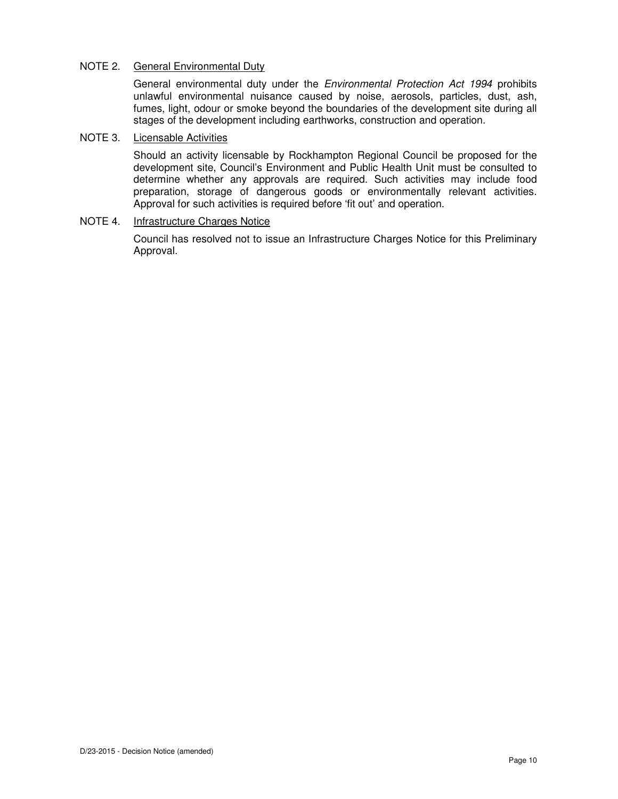## NOTE 2. General Environmental Duty

General environmental duty under the *Environmental Protection Act 1994* prohibits unlawful environmental nuisance caused by noise, aerosols, particles, dust, ash, fumes, light, odour or smoke beyond the boundaries of the development site during all stages of the development including earthworks, construction and operation.

## NOTE 3. Licensable Activities

Should an activity licensable by Rockhampton Regional Council be proposed for the development site, Council's Environment and Public Health Unit must be consulted to determine whether any approvals are required. Such activities may include food preparation, storage of dangerous goods or environmentally relevant activities. Approval for such activities is required before 'fit out' and operation.

## NOTE 4. Infrastructure Charges Notice

Council has resolved not to issue an Infrastructure Charges Notice for this Preliminary Approval.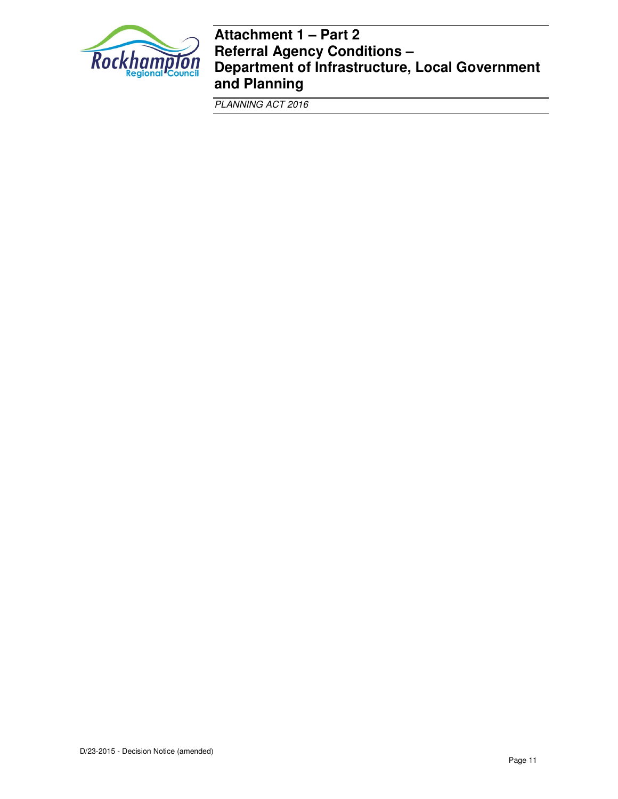

## **Attachment 1 – Part 2 Referral Agency Conditions – Department of Infrastructure, Local Government and Planning**

PLANNING ACT 2016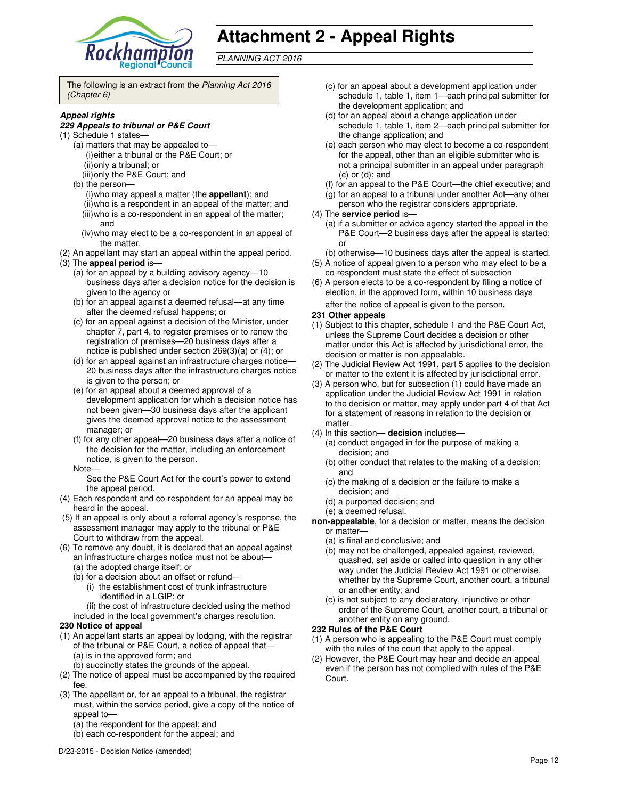

# **Attachment 2 - Appeal Rights**

PLANNING ACT 2016

The following is an extract from the Planning Act 2016 (Chapter 6)

### **Appeal rights**

### **229 Appeals to tribunal or P&E Court**

- (1) Schedule 1 states—
	- (a) matters that may be appealed to— (i) either a tribunal or the P&E Court; or (ii) only a tribunal; or (iii) only the P&E Court; and
	- (b) the person—
		- (i) who may appeal a matter (the **appellant**); and (ii) who is a respondent in an appeal of the matter; and (iii) who is a co-respondent in an appeal of the matter; and
		- (iv) who may elect to be a co-respondent in an appeal of the matter.
- (2) An appellant may start an appeal within the appeal period.
- (3) The **appeal period** is—
	- (a) for an appeal by a building advisory agency—10 business days after a decision notice for the decision is given to the agency or
	- (b) for an appeal against a deemed refusal—at any time after the deemed refusal happens; or
	- (c) for an appeal against a decision of the Minister, under chapter 7, part 4, to register premises or to renew the registration of premises—20 business days after a notice is published under section 269(3)(a) or (4); or
	- (d) for an appeal against an infrastructure charges notice— 20 business days after the infrastructure charges notice is given to the person; or
	- (e) for an appeal about a deemed approval of a development application for which a decision notice has not been given—30 business days after the applicant gives the deemed approval notice to the assessment manager; or
	- (f) for any other appeal—20 business days after a notice of the decision for the matter, including an enforcement notice, is given to the person.
	- Note—

See the P&E Court Act for the court's power to extend the appeal period.

- (4) Each respondent and co-respondent for an appeal may be heard in the appeal.
- (5) If an appeal is only about a referral agency's response, the assessment manager may apply to the tribunal or P&E Court to withdraw from the appeal.
- (6) To remove any doubt, it is declared that an appeal against an infrastructure charges notice must not be about—
	- (a) the adopted charge itself; or
	- (b) for a decision about an offset or refund—
		- (i) the establishment cost of trunk infrastructure identified in a LGIP; or
	- (ii) the cost of infrastructure decided using the method included in the local government's charges resolution.

### **230 Notice of appeal**

- (1) An appellant starts an appeal by lodging, with the registrar of the tribunal or P&E Court, a notice of appeal that— (a) is in the approved form; and
	- (b) succinctly states the grounds of the appeal.
- (2) The notice of appeal must be accompanied by the required fee.
- (3) The appellant or, for an appeal to a tribunal, the registrar must, within the service period, give a copy of the notice of appeal to-
	- (a) the respondent for the appeal; and
	- (b) each co-respondent for the appeal; and
- (c) for an appeal about a development application under schedule 1, table 1, item 1—each principal submitter for the development application; and
- (d) for an appeal about a change application under schedule 1, table 1, item 2—each principal submitter for the change application; and
- (e) each person who may elect to become a co-respondent for the appeal, other than an eligible submitter who is not a principal submitter in an appeal under paragraph (c) or (d); and
- (f) for an appeal to the P&E Court—the chief executive; and
- (g) for an appeal to a tribunal under another Act—any other
- person who the registrar considers appropriate.
- (4) The **service period** is—
	- (a) if a submitter or advice agency started the appeal in the P&E Court—2 business days after the appeal is started; or
	- (b) otherwise—10 business days after the appeal is started.
- (5) A notice of appeal given to a person who may elect to be a co-respondent must state the effect of subsection
- (6) A person elects to be a co-respondent by filing a notice of election, in the approved form, within 10 business days after the notice of appeal is given to the person*.*

#### **231 Other appeals**

- (1) Subject to this chapter, schedule 1 and the P&E Court Act, unless the Supreme Court decides a decision or other matter under this Act is affected by jurisdictional error, the decision or matter is non-appealable.
- (2) The Judicial Review Act 1991, part 5 applies to the decision or matter to the extent it is affected by jurisdictional error.
- (3) A person who, but for subsection (1) could have made an application under the Judicial Review Act 1991 in relation to the decision or matter, may apply under part 4 of that Act for a statement of reasons in relation to the decision or matter.
- (4) In this section— **decision** includes—
	- (a) conduct engaged in for the purpose of making a decision; and
	- (b) other conduct that relates to the making of a decision; and
	- (c) the making of a decision or the failure to make a decision; and
	- (d) a purported decision; and
	- (e) a deemed refusal.
- **non-appealable**, for a decision or matter, means the decision or matter—
	- (a) is final and conclusive; and
	- (b) may not be challenged, appealed against, reviewed, quashed, set aside or called into question in any other way under the Judicial Review Act 1991 or otherwise, whether by the Supreme Court, another court, a tribunal or another entity; and
	- (c) is not subject to any declaratory, injunctive or other order of the Supreme Court, another court, a tribunal or another entity on any ground.

### **232 Rules of the P&E Court**

- (1) A person who is appealing to the P&E Court must comply with the rules of the court that apply to the appeal.
- (2) However, the P&E Court may hear and decide an appeal even if the person has not complied with rules of the P&E Court.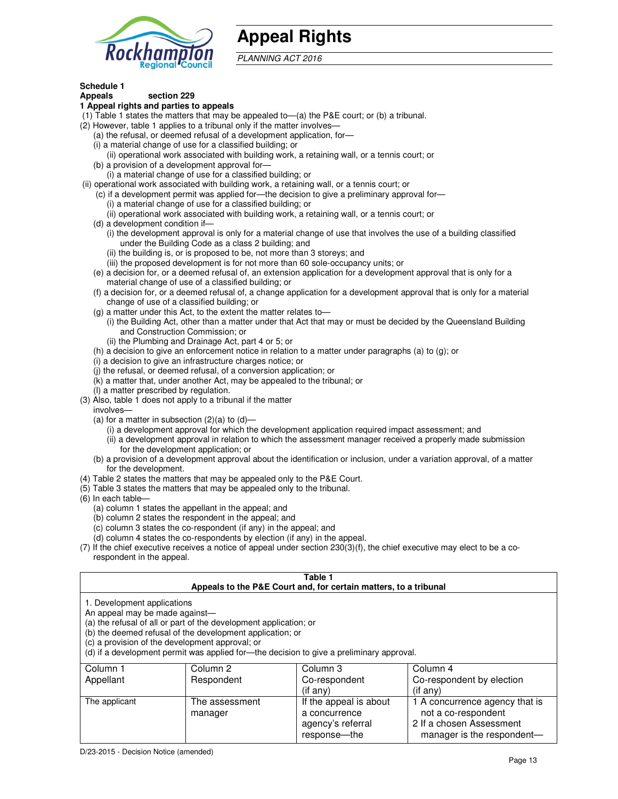

## **Appeal Rights**

PLANNING ACT 2016

## **Schedule 1**

#### **Appeals section 229 1 Appeal rights and parties to appeals**

- (1) Table 1 states the matters that may be appealed to—(a) the P&E court; or (b) a tribunal.
- (2) However, table 1 applies to a tribunal only if the matter involves—
	- (a) the refusal, or deemed refusal of a development application, for—
	- (i) a material change of use for a classified building; or
	- (ii) operational work associated with building work, a retaining wall, or a tennis court; or (b) a provision of a development approval for—
	- (i) a material change of use for a classified building; or
- (ii) operational work associated with building work, a retaining wall, or a tennis court; or
	- (c) if a development permit was applied for—the decision to give a preliminary approval for—
		- (i) a material change of use for a classified building; or
		- (ii) operational work associated with building work, a retaining wall, or a tennis court; or
	- (d) a development condition if—
		- (i) the development approval is only for a material change of use that involves the use of a building classified under the Building Code as a class 2 building; and
		- (ii) the building is, or is proposed to be, not more than 3 storeys; and
		- (iii) the proposed development is for not more than 60 sole-occupancy units; or
	- (e) a decision for, or a deemed refusal of, an extension application for a development approval that is only for a material change of use of a classified building; or
	- (f) a decision for, or a deemed refusal of, a change application for a development approval that is only for a material change of use of a classified building; or
	- (g) a matter under this Act, to the extent the matter relates to—
		- (i) the Building Act, other than a matter under that Act that may or must be decided by the Queensland Building and Construction Commission; or
		- (ii) the Plumbing and Drainage Act, part 4 or 5; or
	- (h) a decision to give an enforcement notice in relation to a matter under paragraphs (a) to (g); or
	- (i) a decision to give an infrastructure charges notice; or
	- (j) the refusal, or deemed refusal, of a conversion application; or
	- (k) a matter that, under another Act, may be appealed to the tribunal; or
	- (l) a matter prescribed by regulation.
- (3) Also, table 1 does not apply to a tribunal if the matter
- involves—
	- (a) for a matter in subsection  $(2)(a)$  to  $(d)$ 
		- (i) a development approval for which the development application required impact assessment; and
		- (ii) a development approval in relation to which the assessment manager received a properly made submission for the development application; or
	- (b) a provision of a development approval about the identification or inclusion, under a variation approval, of a matter for the development.
- (4) Table 2 states the matters that may be appealed only to the P&E Court.
- (5) Table 3 states the matters that may be appealed only to the tribunal.
- (6) In each table—
	- (a) column 1 states the appellant in the appeal; and
	- (b) column 2 states the respondent in the appeal; and
	- (c) column 3 states the co-respondent (if any) in the appeal; and
	- (d) column 4 states the co-respondents by election (if any) in the appeal.
- (7) If the chief executive receives a notice of appeal under section 230(3)(f), the chief executive may elect to be a corespondent in the appeal.

| Table 1<br>Appeals to the P&E Court and, for certain matters, to a tribunal                                                                                                                                                                                                                                                                    |                           |                                                              |                                                                                   |  |
|------------------------------------------------------------------------------------------------------------------------------------------------------------------------------------------------------------------------------------------------------------------------------------------------------------------------------------------------|---------------------------|--------------------------------------------------------------|-----------------------------------------------------------------------------------|--|
| 1. Development applications<br>An appeal may be made against-<br>(a) the refusal of all or part of the development application; or<br>(b) the deemed refusal of the development application; or<br>(c) a provision of the development approval; or<br>(d) if a development permit was applied for-the decision to give a preliminary approval. |                           |                                                              |                                                                                   |  |
| Column 1                                                                                                                                                                                                                                                                                                                                       | Column 2                  | Column 3                                                     | Column 4                                                                          |  |
| Appellant                                                                                                                                                                                                                                                                                                                                      | Respondent                | Co-respondent<br>$($ if any $)$                              | Co-respondent by election<br>$($ if any $)$                                       |  |
| The applicant                                                                                                                                                                                                                                                                                                                                  | The assessment<br>manager | If the appeal is about<br>a concurrence<br>agency's referral | 1 A concurrence agency that is<br>not a co-respondent<br>2 If a chosen Assessment |  |

response—the

manager is the respondent-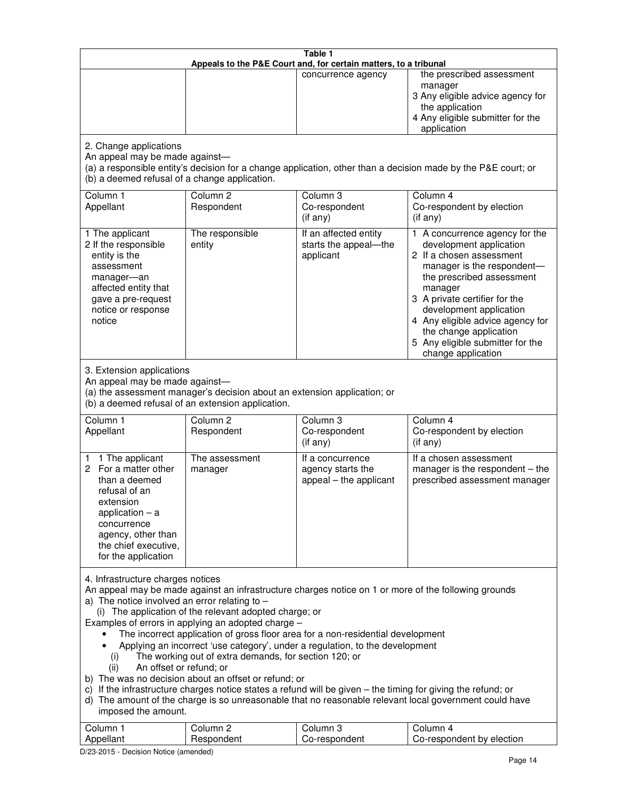| Table 1<br>Appeals to the P&E Court and, for certain matters, to a tribunal                                                                                                                                                                                                                                                                                                                                                                                                                                                                                                                                                                                                                                                                                                                                                                                                                                                                                       |                                   |                                                                 |                                                                                                                                                                                                                                                                                                                                                 |  |
|-------------------------------------------------------------------------------------------------------------------------------------------------------------------------------------------------------------------------------------------------------------------------------------------------------------------------------------------------------------------------------------------------------------------------------------------------------------------------------------------------------------------------------------------------------------------------------------------------------------------------------------------------------------------------------------------------------------------------------------------------------------------------------------------------------------------------------------------------------------------------------------------------------------------------------------------------------------------|-----------------------------------|-----------------------------------------------------------------|-------------------------------------------------------------------------------------------------------------------------------------------------------------------------------------------------------------------------------------------------------------------------------------------------------------------------------------------------|--|
|                                                                                                                                                                                                                                                                                                                                                                                                                                                                                                                                                                                                                                                                                                                                                                                                                                                                                                                                                                   |                                   | concurrence agency                                              | the prescribed assessment<br>manager<br>3 Any eligible advice agency for<br>the application<br>4 Any eligible submitter for the<br>application                                                                                                                                                                                                  |  |
| 2. Change applications<br>An appeal may be made against-<br>(b) a deemed refusal of a change application.                                                                                                                                                                                                                                                                                                                                                                                                                                                                                                                                                                                                                                                                                                                                                                                                                                                         |                                   |                                                                 | (a) a responsible entity's decision for a change application, other than a decision made by the P&E court; or                                                                                                                                                                                                                                   |  |
| Column 1<br>Appellant                                                                                                                                                                                                                                                                                                                                                                                                                                                                                                                                                                                                                                                                                                                                                                                                                                                                                                                                             | Column <sub>2</sub><br>Respondent | Column <sub>3</sub><br>Co-respondent<br>(if any)                | Column 4<br>Co-respondent by election<br>(if any)                                                                                                                                                                                                                                                                                               |  |
| 1 The applicant<br>2 If the responsible<br>entity is the<br>assessment<br>manager-an<br>affected entity that<br>gave a pre-request<br>notice or response<br>notice                                                                                                                                                                                                                                                                                                                                                                                                                                                                                                                                                                                                                                                                                                                                                                                                | The responsible<br>entity         | If an affected entity<br>starts the appeal-the<br>applicant     | 1 A concurrence agency for the<br>development application<br>2 If a chosen assessment<br>manager is the respondent-<br>the prescribed assessment<br>manager<br>3 A private certifier for the<br>development application<br>4 Any eligible advice agency for<br>the change application<br>5 Any eligible submitter for the<br>change application |  |
| 3. Extension applications<br>An appeal may be made against-<br>(a) the assessment manager's decision about an extension application; or<br>(b) a deemed refusal of an extension application.                                                                                                                                                                                                                                                                                                                                                                                                                                                                                                                                                                                                                                                                                                                                                                      |                                   |                                                                 |                                                                                                                                                                                                                                                                                                                                                 |  |
| Column 1<br>Appellant                                                                                                                                                                                                                                                                                                                                                                                                                                                                                                                                                                                                                                                                                                                                                                                                                                                                                                                                             | Column <sub>2</sub><br>Respondent | Column 3<br>Co-respondent<br>(if any)                           | Column 4<br>Co-respondent by election<br>(if any)                                                                                                                                                                                                                                                                                               |  |
| 1 The applicant<br>1.<br>For a matter other<br>2<br>than a deemed<br>refusal of an<br>extension<br>application $-$ a<br>concurrence<br>agency, other than<br>the chief executive,<br>for the application                                                                                                                                                                                                                                                                                                                                                                                                                                                                                                                                                                                                                                                                                                                                                          | The assessment<br>manager         | If a concurrence<br>agency starts the<br>appeal - the applicant | If a chosen assessment<br>manager is the respondent - the<br>prescribed assessment manager                                                                                                                                                                                                                                                      |  |
| 4. Infrastructure charges notices<br>An appeal may be made against an infrastructure charges notice on 1 or more of the following grounds<br>a) The notice involved an error relating to $-$<br>(i) The application of the relevant adopted charge; or<br>Examples of errors in applying an adopted charge -<br>The incorrect application of gross floor area for a non-residential development<br>Applying an incorrect 'use category', under a regulation, to the development<br>The working out of extra demands, for section 120; or<br>(i)<br>An offset or refund; or<br>(ii)<br>b) The was no decision about an offset or refund; or<br>c) If the infrastructure charges notice states a refund will be given - the timing for giving the refund; or<br>d) The amount of the charge is so unreasonable that no reasonable relevant local government could have<br>imposed the amount.<br>Column 1<br>Column <sub>2</sub><br>Column <sub>3</sub><br>Column 4 |                                   |                                                                 |                                                                                                                                                                                                                                                                                                                                                 |  |
| Appellant                                                                                                                                                                                                                                                                                                                                                                                                                                                                                                                                                                                                                                                                                                                                                                                                                                                                                                                                                         | Respondent                        | Co-respondent                                                   | Co-respondent by election                                                                                                                                                                                                                                                                                                                       |  |

D/23-2015 - Decision Notice (amended)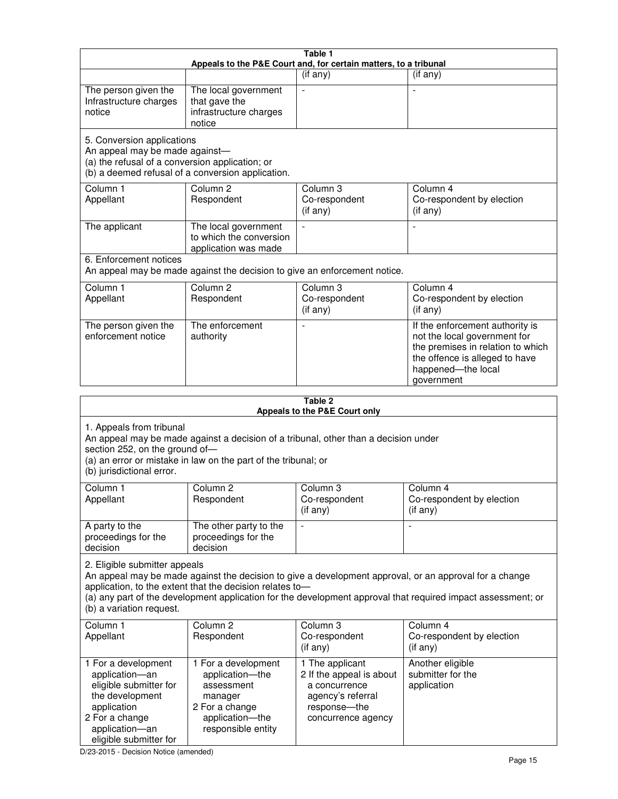| Table 1<br>Appeals to the P&E Court and, for certain matters, to a tribunal                                                                                                                                                                                                                                                                     |                                                                           |                                                                                   |                                                                                                                                                                            |
|-------------------------------------------------------------------------------------------------------------------------------------------------------------------------------------------------------------------------------------------------------------------------------------------------------------------------------------------------|---------------------------------------------------------------------------|-----------------------------------------------------------------------------------|----------------------------------------------------------------------------------------------------------------------------------------------------------------------------|
|                                                                                                                                                                                                                                                                                                                                                 |                                                                           | (if any)                                                                          | $($ if any $)$                                                                                                                                                             |
| The person given the<br>Infrastructure charges<br>notice                                                                                                                                                                                                                                                                                        | The local government<br>that gave the<br>infrastructure charges<br>notice |                                                                                   |                                                                                                                                                                            |
| 5. Conversion applications<br>An appeal may be made against-<br>(a) the refusal of a conversion application; or<br>(b) a deemed refusal of a conversion application.                                                                                                                                                                            |                                                                           |                                                                                   |                                                                                                                                                                            |
| Column 1<br>Appellant                                                                                                                                                                                                                                                                                                                           | Column <sub>2</sub><br>Respondent                                         | Column 3<br>Co-respondent<br>(if any)                                             | Column 4<br>Co-respondent by election<br>(if any)                                                                                                                          |
| The applicant                                                                                                                                                                                                                                                                                                                                   | The local government<br>to which the conversion<br>application was made   |                                                                                   | $\blacksquare$                                                                                                                                                             |
| 6. Enforcement notices                                                                                                                                                                                                                                                                                                                          | An appeal may be made against the decision to give an enforcement notice. |                                                                                   |                                                                                                                                                                            |
| Column 1<br>Appellant                                                                                                                                                                                                                                                                                                                           | Column <sub>2</sub><br>Respondent                                         | Column 3<br>Co-respondent<br>(if any)                                             | Column 4<br>Co-respondent by election<br>(if any)                                                                                                                          |
| The person given the<br>enforcement notice                                                                                                                                                                                                                                                                                                      | The enforcement<br>authority                                              |                                                                                   | If the enforcement authority is<br>not the local government for<br>the premises in relation to which<br>the offence is alleged to have<br>happened-the local<br>government |
|                                                                                                                                                                                                                                                                                                                                                 |                                                                           | Table 2<br>Appeals to the P&E Court only                                          |                                                                                                                                                                            |
| 1. Appeals from tribunal<br>An appeal may be made against a decision of a tribunal, other than a decision under<br>section 252, on the ground of-<br>(a) an error or mistake in law on the part of the tribunal; or<br>(b) jurisdictional error.                                                                                                |                                                                           |                                                                                   |                                                                                                                                                                            |
| Column 1<br>Appellant                                                                                                                                                                                                                                                                                                                           | Column 2<br>Respondent                                                    | Column 3<br>Co-respondent<br>(if any)                                             | Column 4<br>Co-respondent by election<br>$($ if any $)$                                                                                                                    |
| A party to the<br>proceedings for the<br>decision                                                                                                                                                                                                                                                                                               | The other party to the<br>proceedings for the<br>decision                 |                                                                                   |                                                                                                                                                                            |
| 2. Eligible submitter appeals<br>An appeal may be made against the decision to give a development approval, or an approval for a change<br>application, to the extent that the decision relates to-<br>(a) any part of the development application for the development approval that required impact assessment; or<br>(b) a variation request. |                                                                           |                                                                                   |                                                                                                                                                                            |
| Column <sub>1</sub><br>Appellant                                                                                                                                                                                                                                                                                                                | Column <sub>2</sub><br>Respondent                                         | Column 3<br>Co-respondent<br>(if any)                                             | Column 4<br>Co-respondent by election<br>(if any)                                                                                                                          |
| 1 For a development<br>application-an<br>eligible submitter for<br>the development<br>application                                                                                                                                                                                                                                               | 1 For a development<br>application-the<br>assessment<br>manager           | 1 The applicant<br>2 If the appeal is about<br>a concurrence<br>agency's referral | Another eligible<br>submitter for the<br>application                                                                                                                       |

D/23-2015 - Decision Notice (amended)

eligible submitter for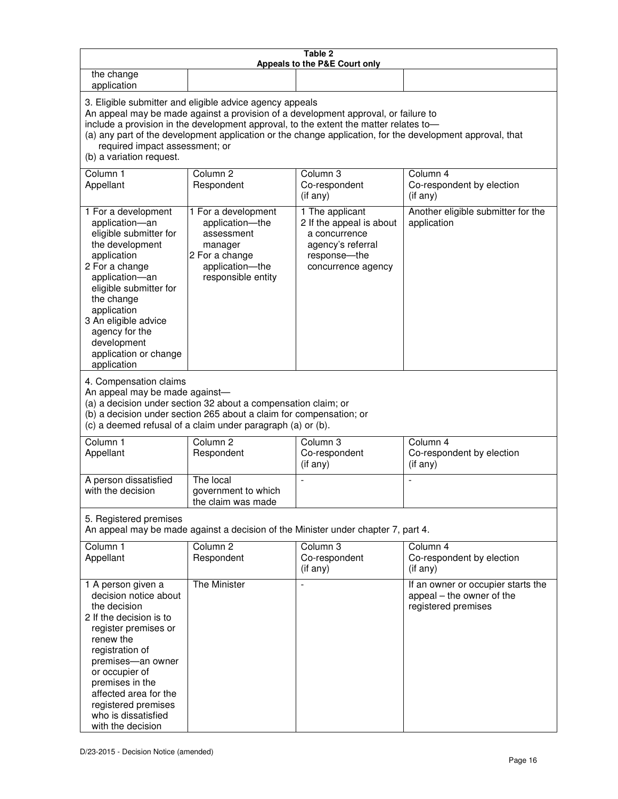| Table 2<br>Appeals to the P&E Court only                                                                                                                                                                                                                                                                                                                                                                           |                                                                                                                            |                                                                                                                         |                                                                                        |
|--------------------------------------------------------------------------------------------------------------------------------------------------------------------------------------------------------------------------------------------------------------------------------------------------------------------------------------------------------------------------------------------------------------------|----------------------------------------------------------------------------------------------------------------------------|-------------------------------------------------------------------------------------------------------------------------|----------------------------------------------------------------------------------------|
| the change<br>application                                                                                                                                                                                                                                                                                                                                                                                          |                                                                                                                            |                                                                                                                         |                                                                                        |
| 3. Eligible submitter and eligible advice agency appeals<br>An appeal may be made against a provision of a development approval, or failure to<br>include a provision in the development approval, to the extent the matter relates to-<br>(a) any part of the development application or the change application, for the development approval, that<br>required impact assessment; or<br>(b) a variation request. |                                                                                                                            |                                                                                                                         |                                                                                        |
| Column 1<br>Appellant                                                                                                                                                                                                                                                                                                                                                                                              | Column <sub>2</sub><br>Respondent                                                                                          | Column 3<br>Co-respondent<br>(if any)                                                                                   | Column 4<br>Co-respondent by election<br>(if any)                                      |
| 1 For a development<br>application-an<br>eligible submitter for<br>the development<br>application<br>2 For a change<br>application-an<br>eligible submitter for<br>the change<br>application<br>3 An eligible advice<br>agency for the<br>development<br>application or change<br>application                                                                                                                      | 1 For a development<br>application-the<br>assessment<br>manager<br>2 For a change<br>application-the<br>responsible entity | 1 The applicant<br>2 If the appeal is about<br>a concurrence<br>agency's referral<br>response-the<br>concurrence agency | Another eligible submitter for the<br>application                                      |
| 4. Compensation claims<br>An appeal may be made against-<br>(a) a decision under section 32 about a compensation claim; or<br>(b) a decision under section 265 about a claim for compensation; or<br>(c) a deemed refusal of a claim under paragraph (a) or (b).                                                                                                                                                   |                                                                                                                            |                                                                                                                         |                                                                                        |
| Column <sub>1</sub><br>Appellant                                                                                                                                                                                                                                                                                                                                                                                   | Column <sub>2</sub><br>Respondent                                                                                          | Column 3<br>Co-respondent<br>(if any)                                                                                   | Column 4<br>Co-respondent by election<br>(if any)                                      |
| A person dissatisfied<br>with the decision                                                                                                                                                                                                                                                                                                                                                                         | The local<br>government to which<br>the claim was made                                                                     | ÷,                                                                                                                      | $\overline{a}$                                                                         |
| 5. Registered premises<br>An appeal may be made against a decision of the Minister under chapter 7, part 4.                                                                                                                                                                                                                                                                                                        |                                                                                                                            |                                                                                                                         |                                                                                        |
| Column <sub>1</sub><br>Appellant                                                                                                                                                                                                                                                                                                                                                                                   | Column <sub>2</sub><br>Respondent                                                                                          | Column <sub>3</sub><br>Co-respondent<br>(if any)                                                                        | Column 4<br>Co-respondent by election<br>(if any)                                      |
| 1 A person given a<br>decision notice about<br>the decision<br>2 If the decision is to<br>register premises or<br>renew the<br>registration of<br>premises-an owner<br>or occupier of<br>premises in the<br>affected area for the<br>registered premises<br>who is dissatisfied<br>with the decision                                                                                                               | The Minister                                                                                                               |                                                                                                                         | If an owner or occupier starts the<br>appeal - the owner of the<br>registered premises |